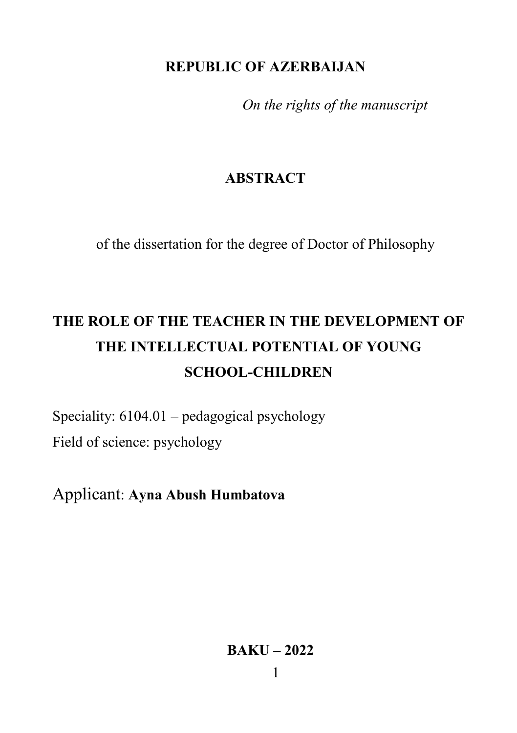## **REPUBLIC OF AZERBAIJAN**

*On the rights of the manuscript*

## **ABSTRACT**

of the dissertation for the degree of Doctor of Philosophy

# **THE ROLE OF THE TEACHER IN THE DEVELOPMENT OF THE INTELLECTUAL POTENTIAL OF YOUNG SCHOOL-CHILDREN**

Speciality: 6104.01 – pedagogical psychology Field of science: psychology

Applicant: **Ayna Abush Humbatova**

**BAKU – 2022**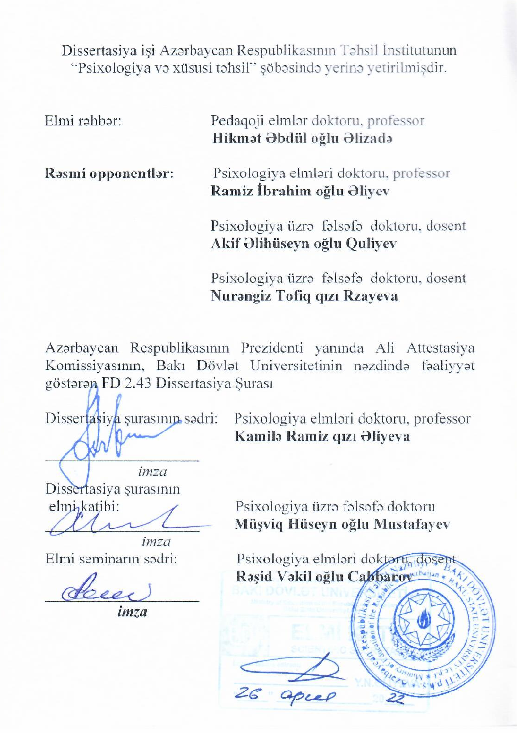The discreption of the distribution was careful was careful with the discreption of the Department of the Department of the Department of the Department of the Department of the Department of the Department of the Departme Psychology and Special Education of the Institute of Education of

Elmi rəhbər: Pedagoji elmlər doktoru, professor **Hikmat Abdul Alizada** 

**Rasmi opponentlar:** Psixologiya elmləri doktoru, professor **Ramiz İbrahim oğlu Əliyev** Doctor of Philosophy in Psychology, dosent

> Psixologiya üzrə fəlsəfə doktoru, dosent Akif Əlihüseyn oğlu Quliyev

> Psixologiya üzrə fəlsəfə doktoru, dosent Nurangiz Tofiq qızı Rzayeva

Azərbaycan Respublikasının Prezidenti vanında Ali Attestasiya Komissiyasının, Bakı Dövlət Universitetinin nəzdində fəaliyyət göstərən FD 2.43 Dissertasiya Surası

 $\mathcal{L}$  $\Lambda$   $\Omega$ 

Psixologiva elmləri doktoru, professor Kamila Ramiz qızı Əliyeva  $\Delta$  doctor of  $\Delta$ 

 $D$ imza elmi<sub>katibi</sub>: an

 $\sum_{i=1}^{n}$   $\sum_{i=1}^{n}$ 

 **(**signature)

imza

Psixologiya üzrə fəlsəfə doktoru Müsviq Hüseyn oğlu Mustafayev

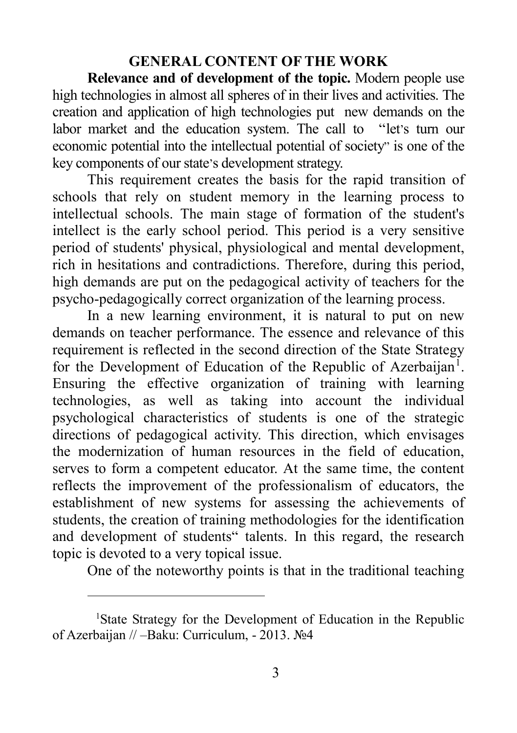## **GENERAL CONTENT OF THE WORK**

**Relevance and of development of the topic.** Modern people use high technologies in almost all spheres of in their lives and activities. The creation and application of high technologies put new demands on the labor market and the education system. The call to ''let's turn our economic potential into the intellectual potential of society" is one of the key components of our state's development strategy.

This requirement creates the basis for the rapid transition of schools that rely on student memory in the learning process to intellectual schools. The main stage of formation of the student's intellect is the early school period. This period is a very sensitive period of students' physical, physiological and mental development, rich in hesitations and contradictions. Therefore, during this period, high demands are put on the pedagogical activity of teachers for the psycho-pedagogically correct organization of the learning process.

In a new learning environment, it is natural to put on new demands on teacher performance. The essence and relevance of this requirement is reflected in the second direction of the State Strategy for the Development of Education of the Republic of Azerbaijan<sup>[1](#page-2-0)</sup>. Ensuring the effective organization of training with learning technologies, as well as taking into account the individual psychological characteristics of students is one of the strategic directions of pedagogical activity. This direction, which envisages the modernization of human resources in the field of education, serves to form a competent educator. At the same time, the content reflects the improvement of the professionalism of educators, the establishment of new systems for assessing the achievements of students, the creation of training methodologies for the identification and development of students" talents. In this regard, the research topic is devoted to a very topical issue.

One of the noteworthy points is that in the traditional teaching

 $\overline{a}$ 

<span id="page-2-0"></span><sup>&</sup>lt;sup>1</sup>State Strategy for the Development of Education in the Republic of Azerbaijan // –Baku: Curriculum, - 2013. №4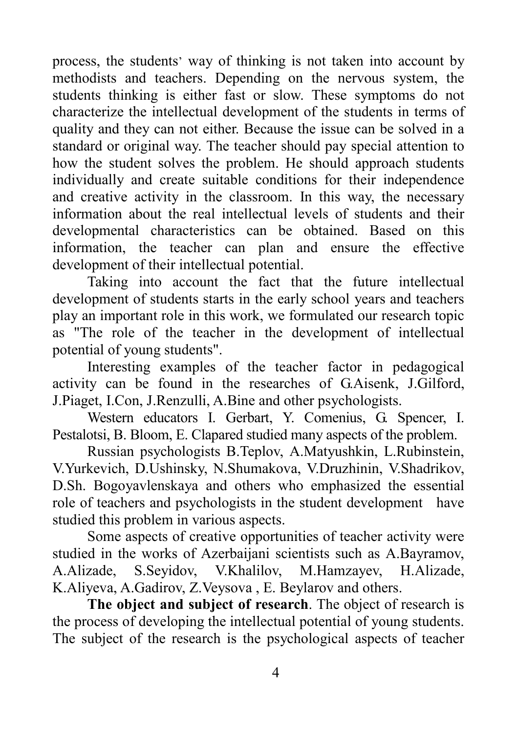process, the students' way of thinking is not taken into account by methodists and teachers. Depending on the nervous system, the students thinking is either fast or slow. These symptoms do not characterize the intellectual development of the students in terms of quality and they can not either. Because the issue can be solved in a standard or original way. The teacher should pay special attention to how the student solves the problem. He should approach students individually and create suitable conditions for their independence and creative activity in the classroom. In this way, the necessary information about the real intellectual levels of students and their developmental characteristics can be obtained. Based on this information, the teacher can plan and ensure the effective development of their intellectual potential.

Taking into account the fact that the future intellectual development of students starts in the early school years and teachers play an important role in this work, we formulated our research topic as "The role of the teacher in the development of intellectual potential of young students".

Interesting examples of the teacher factor in pedagogical activity can be found in the researches of G.Aisenk, J.Gilford, J.Piaget, I.Con, J.Renzulli, A.Bine and other psychologists.

Western educators I. Gerbart, Y. Comenius, G. Spencer, I. Pestalotsi, B. Bloom, E. Clapared studied many aspects of the problem.

Russian psychologists B.Teplov, A.Matyushkin, L.Rubinstein, V.Yurkevich, D.Ushinsky, N.Shumakova, V.Druzhinin, V.Shadrikov, D.Sh. Bogoyavlenskaya and others who emphasized the essential role of teachers and psychologists in the student development have studied this problem in various aspects.

Some aspects of creative opportunities of teacher activity were studied in the works of Azerbaijani scientists such as A.Bayramov, A.Alizade, S.Seyidov, V.Khalilov, M.Hamzayev, H.Alizade, K.Aliyeva, A.Gadirov, Z.Veysova , E. Beylarov and others.

**The object and subject of research**. The object of research is the process of developing the intellectual potential of young students. The subject of the research is the psychological aspects of teacher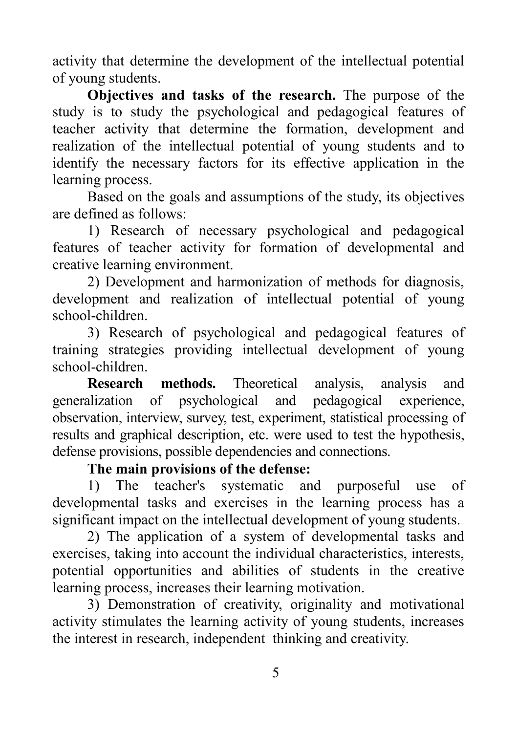activity that determine the development of the intellectual potential of young students.

**Objectives and tasks of the research.** The purpose of the study is to study the psychological and pedagogical features of teacher activity that determine the formation, development and realization of the intellectual potential of young students and to identify the necessary factors for its effective application in the learning process.

Based on the goals and assumptions of the study, its objectives are defined as follows:

1) Research of necessary psychological and pedagogical features of teacher activity for formation of developmental and creative learning environment.

2) Development and harmonization of methods for diagnosis, development and realization of intellectual potential of young school-children.

3) Research of psychological and pedagogical features of training strategies providing intellectual development of young school-children.

**Research methods.** Theoretical analysis, analysis and generalization of psychological and pedagogical experience, observation, interview, survey, test, experiment, statistical processing of results and graphical description, etc. were used to test the hypothesis, defense provisions, possible dependencies and connections.

## **The main provisions of the defense:**

1) The teacher's systematic and purposeful use of developmental tasks and exercises in the learning process has a significant impact on the intellectual development of young students.

2) The application of a system of developmental tasks and exercises, taking into account the individual characteristics, interests, potential opportunities and abilities of students in the creative learning process, increases their learning motivation.

3) Demonstration of creativity, originality and motivational activity stimulates the learning activity of young students, increases the interest in research, independent thinking and creativity.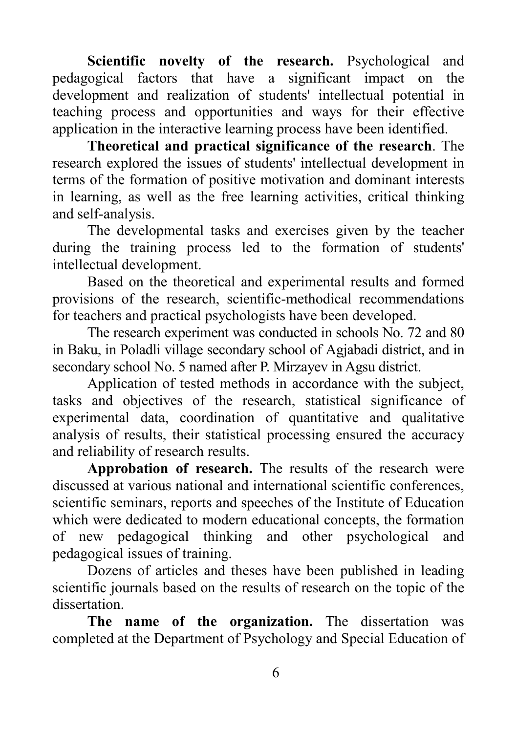Scientific novelty of the research. Psychological and pedagogical factors that have a significant impact on the development and realization of students' intellectual potential in teaching process and opportunities and ways for their effective application in the interactive learning process have been identified.

**Theoretical and practical significance of the research**. The research explored the issues of students' intellectual development in terms of the formation of positive motivation and dominant interests in learning, as well as the free learning activities, critical thinking and self-analysis.

The developmental tasks and exercises given by the teacher during the training process led to the formation of students' intellectual development.

Based on the theoretical and experimental results and formed provisions of the research, scientific-methodical recommendations for teachers and practical psychologists have been developed.

The research experiment was conducted in schools No. 72 and 80 in Baku, in Poladli village secondary school of Agjabadi district, and in secondary school No. 5 named after P. Mirzayev in Agsu district.

Application of tested methods in accordance with the subject, tasks and objectives of the research, statistical significance of experimental data, coordination of quantitative and qualitative analysis of results, their statistical processing ensured the accuracy and reliability of research results.

**Approbation of research.** The results of the research were discussed at various national and international scientific conferences, scientific seminars, reports and speeches of the Institute of Education which were dedicated to modern educational concepts, the formation of new pedagogical thinking and other psychological and pedagogical issues of training.

Dozens of articles and theses have been published in leading scientific journals based on the results of research on the topic of the dissertation.

**The name of the organization.** The dissertation was completed at the Department of Psychology and Special Education of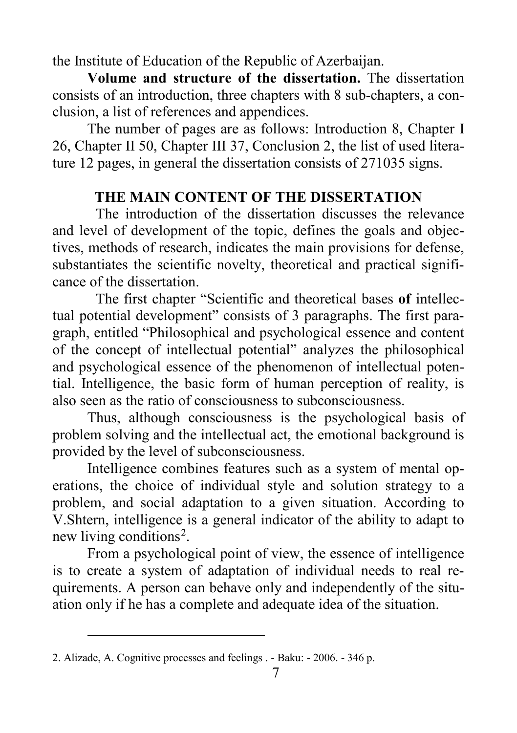the Institute of Education of the Republic of Azerbaijan.

**Volume and structure of the dissertation.** The dissertation consists of an introduction, three chapters with 8 sub-chapters, a conclusion, a list of references and appendices.

The number of pages are as follows: Introduction 8, Chapter I 26, Chapter II 50, Chapter III 37, Conclusion 2, the list of used literature 12 pages, in general the dissertation consists of 271035 signs.

## **THE MAIN CONTENT OF THE DISSERTATION**

The introduction of the dissertation discusses the relevance and level of development of the topic, defines the goals and objectives, methods of research, indicates the main provisions for defense, substantiates the scientific novelty, theoretical and practical significance of the dissertation.

The first chapter "Scientific and theoretical bases **of** intellectual potential development" consists of 3 paragraphs. The first paragraph, entitled "Philosophical and psychological essence and content of the concept of intellectual potential" analyzes the philosophical and psychological essence of the phenomenon of intellectual potential. Intelligence, the basic form of human perception of reality, is also seen as the ratio of consciousness to subconsciousness.

Thus, although consciousness is the psychological basis of problem solving and the intellectual act, the emotional background is provided by the level of subconsciousness.

Intelligence combines features such as a system of mental operations, the choice of individual style and solution strategy to a problem, and social adaptation to a given situation. According to V.Shtern, intelligence is a general indicator of the ability to adapt to new living conditions<sup>[2](#page-6-0)</sup>.

From a psychological point of view, the essence of intelligence is to create a system of adaptation of individual needs to real requirements. A person can behave only and independently of the situation only if he has a complete and adequate idea of the situation.

 $\overline{a}$ 

<span id="page-6-0"></span><sup>2.</sup> Alizade, A. Cognitive processes and feelings . - Baku: - 2006. - 346 p.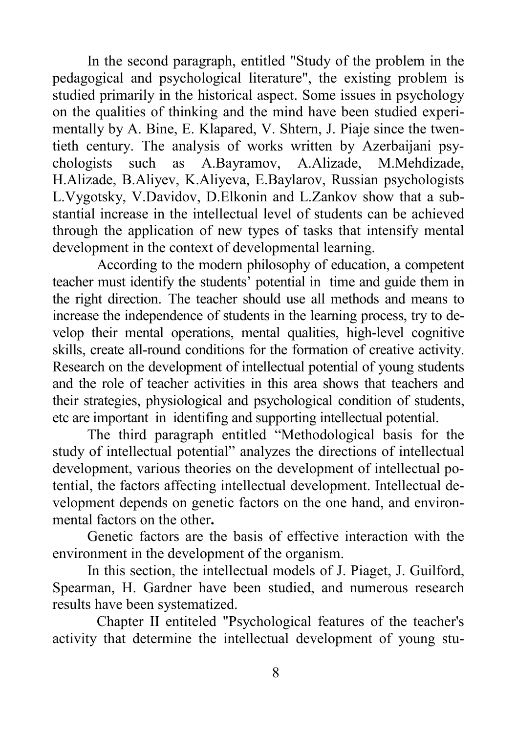In the second paragraph, entitled "Study of the problem in the pedagogical and psychological literature", the existing problem is studied primarily in the historical aspect. Some issues in psychology on the qualities of thinking and the mind have been studied experimentally by A. Bine, E. Klapared, V. Shtern, J. Piaje since the twentieth century. The analysis of works written by Azerbaijani psychologists such as A.Bayramov, A.Alizade, M.Mehdizade, H.Alizade, B.Aliyev, K.Aliyeva, E.Baylarov, Russian psychologists L.Vygotsky, V.Davidov, D.Elkonin and L.Zankov show that a substantial increase in the intellectual level of students can be achieved through the application of new types of tasks that intensify mental development in the context of developmental learning.

According to the modern philosophy of education, a competent teacher must identify the students' potential in time and guide them in the right direction. The teacher should use all methods and means to increase the independence of students in the learning process, try to develop their mental operations, mental qualities, high-level cognitive skills, create all-round conditions for the formation of creative activity. Research on the development of intellectual potential of young students and the role of teacher activities in this area shows that teachers and their strategies, physiological and psychological condition of students, etc are important in identifing and supporting intellectual potential.

The third paragraph entitled "Methodological basis for the study of intellectual potential" analyzes the directions of intellectual development, various theories on the development of intellectual potential, the factors affecting intellectual development. Intellectual development depends on genetic factors on the one hand, and environmental factors on the other**.**

Genetic factors are the basis of effective interaction with the environment in the development of the organism.

In this section, the intellectual models of J. Piaget, J. Guilford, Spearman, H. Gardner have been studied, and numerous research results have been systematized.

Chapter II entiteled "Psychological features of the teacher's activity that determine the intellectual development of young stu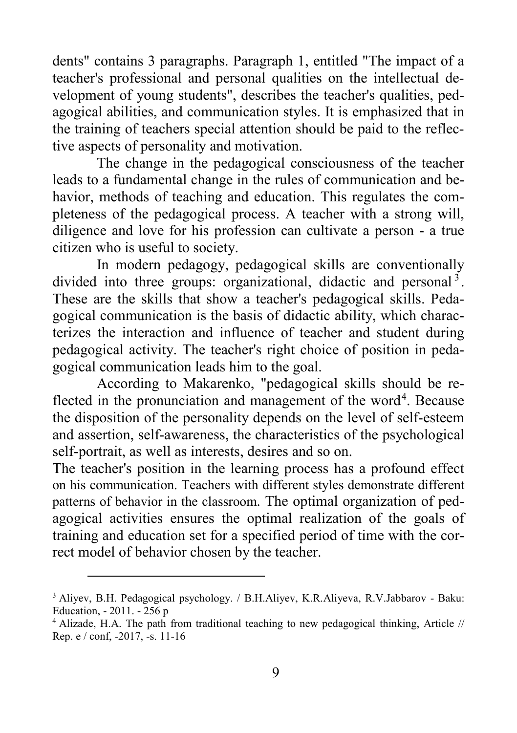dents" contains 3 paragraphs. Paragraph 1, entitled "The impact of a teacher's professional and personal qualities on the intellectual development of young students", describes the teacher's qualities, pedagogical abilities, and communication styles. It is emphasized that in the training of teachers special attention should be paid to the reflective aspects of personality and motivation.

The change in the pedagogical consciousness of the teacher leads to a fundamental change in the rules of communication and behavior, methods of teaching and education. This regulates the completeness of the pedagogical process. A teacher with a strong will, diligence and love for his profession can cultivate a person - a true citizen who is useful to society.

In modern pedagogy, pedagogical skills are conventionally divided into three groups: organizational, didactic and personal<sup>[3](#page-8-0)</sup>. These are the skills that show a teacher's pedagogical skills. Pedagogical communication is the basis of didactic ability, which characterizes the interaction and influence of teacher and student during pedagogical activity. The teacher's right choice of position in pedagogical communication leads him to the goal.

According to Makarenko, "pedagogical skills should be re-flected in the pronunciation and management of the word<sup>[4](#page-8-1)</sup>. Because the disposition of the personality depends on the level of self-esteem and assertion, self-awareness, the characteristics of the psychological self-portrait, as well as interests, desires and so on.

The teacher's position in the learning process has a profound effect on his communication. Teachers with different styles demonstrate different patterns of behavior in the classroom. The optimal organization of pedagogical activities ensures the optimal realization of the goals of training and education set for a specified period of time with the correct model of behavior chosen by the teacher.

 $\overline{a}$ 

<span id="page-8-0"></span><sup>3</sup> Aliyev, B.H. Pedagogical psychology. / B.H.Aliyev, K.R.Aliyeva, R.V.Jabbarov - Baku: Education, - 2011. - 256 p

<span id="page-8-1"></span><sup>4</sup> Alizade, H.A. The path from traditional teaching to new pedagogical thinking, Article // Rep. e / conf, -2017, -s. 11-16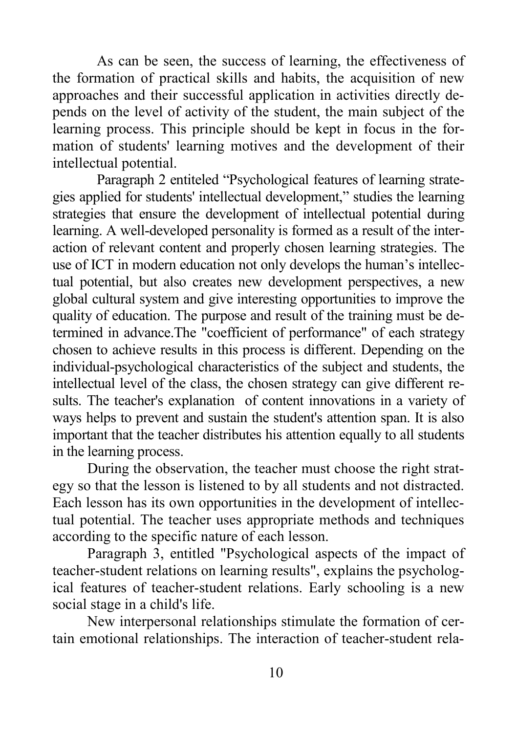As can be seen, the success of learning, the effectiveness of the formation of practical skills and habits, the acquisition of new approaches and their successful application in activities directly depends on the level of activity of the student, the main subject of the learning process. This principle should be kept in focus in the formation of students' learning motives and the development of their intellectual potential.

Paragraph 2 entiteled "Psychological features of learning strategies applied for students' intellectual development," studies the learning strategies that ensure the development of intellectual potential during learning. A well-developed personality is formed as a result of the interaction of relevant content and properly chosen learning strategies. The use of ICT in modern education not only develops the human's intellectual potential, but also creates new development perspectives, a new global cultural system and give interesting opportunities to improve the quality of education. The purpose and result of the training must be determined in advance.The "coefficient of performance" of each strategy chosen to achieve results in this process is different. Depending on the individual-psychological characteristics of the subject and students, the intellectual level of the class, the chosen strategy can give different results. The teacher's explanation of content innovations in a variety of ways helps to prevent and sustain the student's attention span. It is also important that the teacher distributes his attention equally to all students in the learning process.

During the observation, the teacher must choose the right strategy so that the lesson is listened to by all students and not distracted. Each lesson has its own opportunities in the development of intellectual potential. The teacher uses appropriate methods and techniques according to the specific nature of each lesson.

Paragraph 3, entitled "Psychological aspects of the impact of teacher-student relations on learning results", explains the psychological features of teacher-student relations. Early schooling is a new social stage in a child's life.

New interpersonal relationships stimulate the formation of certain emotional relationships. The interaction of teacher-student rela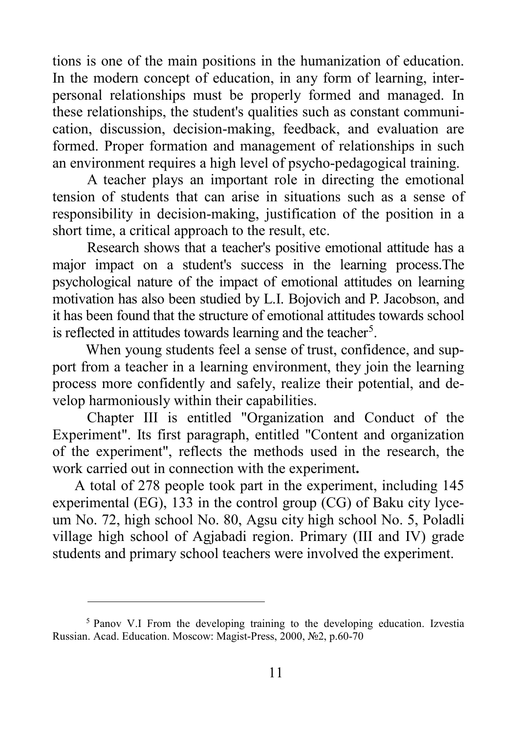tions is one of the main positions in the humanization of education. In the modern concept of education, in any form of learning, interpersonal relationships must be properly formed and managed. In these relationships, the student's qualities such as constant communication, discussion, decision-making, feedback, and evaluation are formed. Proper formation and management of relationships in such an environment requires a high level of psycho-pedagogical training.

A teacher plays an important role in directing the emotional tension of students that can arise in situations such as a sense of responsibility in decision-making, justification of the position in a short time, a critical approach to the result, etc.

Research shows that a teacher's positive emotional attitude has a major impact on a student's success in the learning process.The psychological nature of the impact of emotional attitudes on learning motivation has also been studied by L.I. Bojovich and P. Jacobson, and it has been found that the structure of emotional attitudes towards school is reflected in attitudes towards learning and the teacher<sup>[5](#page-10-0)</sup>.

When young students feel a sense of trust, confidence, and support from a teacher in a learning environment, they join the learning process more confidently and safely, realize their potential, and develop harmoniously within their capabilities.

Chapter III is entitled "Organization and Conduct of the Experiment". Its first paragraph, entitled "Content and organization of the experiment", reflects the methods used in the research, the work carried out in connection with the experiment**.** 

A total of 278 people took part in the experiment, including 145 experimental (EG), 133 in the control group (CG) of Baku city lyceum No. 72, high school No. 80, Agsu city high school No. 5, Poladli village high school of Agjabadi region. Primary (III and IV) grade students and primary school teachers were involved the experiment.

 $\overline{a}$ 

<span id="page-10-0"></span><sup>5</sup> Panov V.I From the developing training to the developing education. Izvestia Russian. Acad. Education. Moscow: Magist-Press, 2000, №2, p.60-70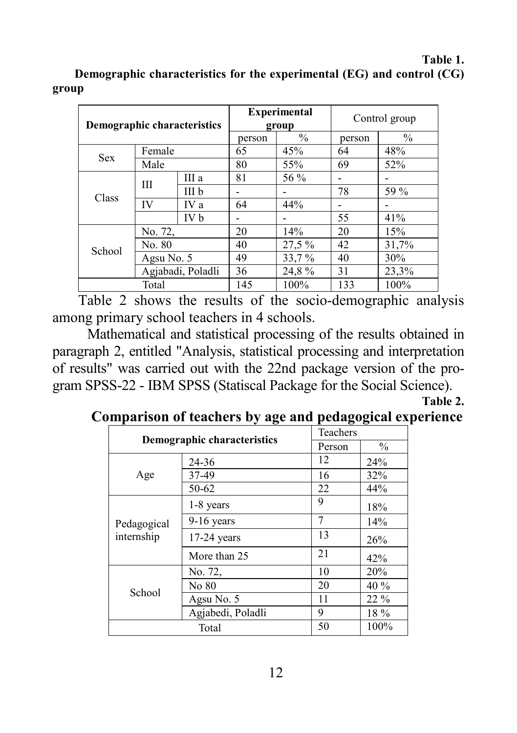#### **Table 1. Demographic characteristics for the experimental (EG) and control (CG) group**

| <b>Demographic characteristics</b> |                   | <b>Experimental</b><br>group |               | Control group |                          |       |
|------------------------------------|-------------------|------------------------------|---------------|---------------|--------------------------|-------|
|                                    |                   | person                       | $\frac{0}{0}$ | person        | $\frac{0}{0}$            |       |
| <b>Sex</b>                         | Female            |                              | 65            | 45%           | 64                       | 48%   |
|                                    | Male              |                              | 80            | 55%           | 69                       | 52%   |
| <b>Class</b>                       | Ш                 | III a                        | 81            | 56 %          |                          |       |
|                                    |                   | III b                        |               |               | 78                       | 59 %  |
|                                    | IV                | IV a                         | 64            | 44%           | $\overline{\phantom{0}}$ |       |
|                                    |                   | IV b                         |               |               | 55                       | 41%   |
|                                    | No. 72,           |                              | 20            | 14%           | 20                       | 15%   |
| School                             | No. 80            |                              | 40            | 27,5 %        | 42                       | 31,7% |
|                                    | Agsu No. 5        |                              | 49            | 33,7 %        | 40                       | 30%   |
|                                    | Agjabadi, Poladli |                              | 36            | 24,8%         | 31                       | 23,3% |
| Total                              |                   | 145                          | 100%          | 133           | 100%                     |       |

Table 2 shows the results of the socio-demographic analysis among primary school teachers in 4 schools.

Mathematical and statistical processing of the results obtained in paragraph 2, entitled "Analysis, statistical processing and interpretation of results" was carried out with the 22nd package version of the program SPSS-22 - IBM SPSS (Statiscal Package for the Social Science).

**Table 2.** 

|                             | ு.∍               | -9-9-  |               |
|-----------------------------|-------------------|--------|---------------|
|                             | Teachers          |        |               |
| Demographic characteristics |                   | Person | $\frac{0}{0}$ |
| Age                         | 24-36             | 12     | 24%           |
|                             | 37-49             | 16     | 32%           |
|                             | 50-62             | 22     | 44%           |
| Pedagogical<br>internship   | 1-8 years         | 9      | 18%           |
|                             | $9-16$ years      | 7      | 14%           |
|                             | $17-24$ years     | 13     | 26%           |
|                             | More than 25      | 21     | 42%           |
| School                      | No. 72,           | 10     | 20%           |
|                             | No 80             | 20     | 40 %          |
|                             | Agsu No. 5        | 11     | 22 %          |
|                             | Agjabedi, Poladli | 9      | $18\%$        |
| Total                       |                   | 50     | 100%          |

## **Comparison of teachers by age and pedagogical experience**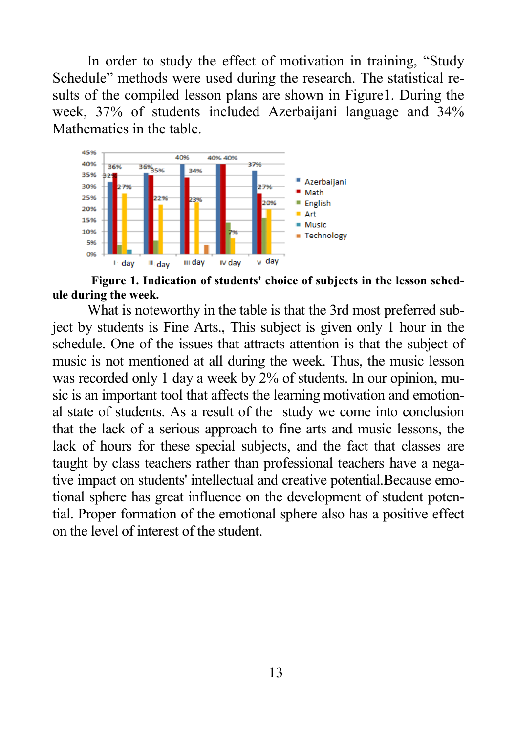In order to study the effect of motivation in training, "Study Schedule" methods were used during the research. The statistical results of the compiled lesson plans are shown in Figure1. During the week, 37% of students included Azerbaijani language and 34% Mathematics in the table.



**Figure 1. Indication of students' choice of subjects in the lesson schedule during the week.**

What is noteworthy in the table is that the 3rd most preferred subject by students is Fine Arts., This subject is given only 1 hour in the schedule. One of the issues that attracts attention is that the subject of music is not mentioned at all during the week. Thus, the music lesson was recorded only 1 day a week by 2% of students. In our opinion, music is an important tool that affects the learning motivation and emotional state of students. As a result of the study we come into conclusion that the lack of a serious approach to fine arts and music lessons, the lack of hours for these special subjects, and the fact that classes are taught by class teachers rather than professional teachers have a negative impact on students' intellectual and creative potential.Because emotional sphere has great influence on the development of student potential. Proper formation of the emotional sphere also has a positive effect on the level of interest of the student.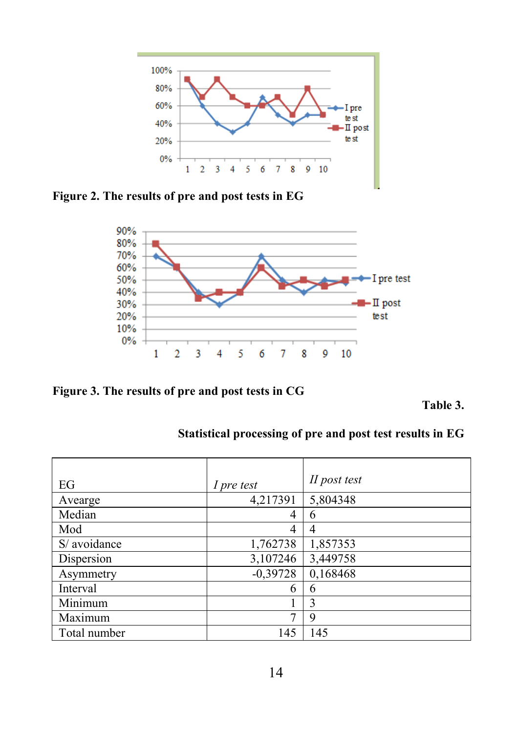

**Figure 2. The results of pre and post tests in EG**



**Figure 3. The results of pre and post tests in CG**

**Table 3.**

| EG           | I pre test | II post test |
|--------------|------------|--------------|
| Avearge      | 4,217391   | 5,804348     |
| Median       | 4          | 6            |
| Mod          | 4          | 4            |
| S/ avoidance | 1,762738   | 1,857353     |
| Dispersion   | 3,107246   | 3,449758     |
| Asymmetry    | $-0,39728$ | 0,168468     |
| Interval     | 6          | 6            |
| Minimum      |            | 3            |
| Maximum      | 7          | 9            |
| Total number | 145        | 145          |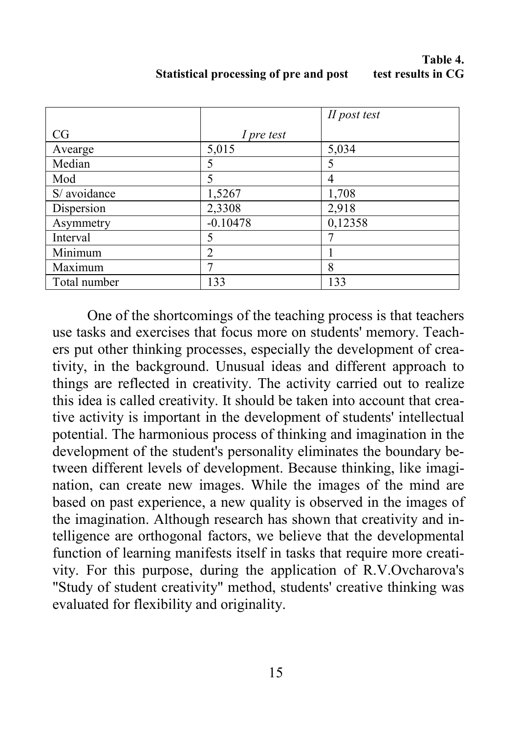### **Table 4.**<br>**Table 4.**<br>**The results in CG Statistical processing of pre and post**

|              |                | II post test |
|--------------|----------------|--------------|
| CG           | I pre test     |              |
| Avearge      | 5,015          | 5,034        |
| Median       | 5              | 5            |
| Mod          | 5              | 4            |
| S/ avoidance | 1,5267         | 1,708        |
| Dispersion   | 2,3308         | 2,918        |
| Asymmetry    | $-0.10478$     | 0,12358      |
| Interval     | 5              |              |
| Minimum      | $\overline{c}$ |              |
| Maximum      |                | 8            |
| Total number | 133            | 133          |

One of the shortcomings of the teaching process is that teachers use tasks and exercises that focus more on students' memory. Teachers put other thinking processes, especially the development of creativity, in the background. Unusual ideas and different approach to things are reflected in creativity. The activity carried out to realize this idea is called creativity. It should be taken into account that creative activity is important in the development of students' intellectual potential. The harmonious process of thinking and imagination in the development of the student's personality eliminates the boundary between different levels of development. Because thinking, like imagination, can create new images. While the images of the mind are based on past experience, a new quality is observed in the images of the imagination. Although research has shown that creativity and intelligence are orthogonal factors, we believe that the developmental function of learning manifests itself in tasks that require more creativity. For this purpose, during the application of R.V.Ovcharova's "Study of student creativity" method, students' creative thinking was evaluated for flexibility and originality.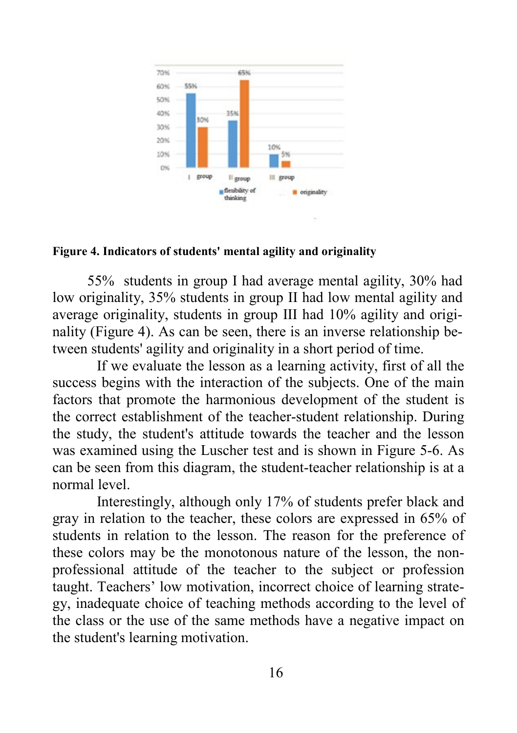

#### **Figure 4. Indicators of students' mental agility and originality**

55% students in group I had average mental agility, 30% had low originality, 35% students in group II had low mental agility and average originality, students in group III had 10% agility and originality (Figure 4). As can be seen, there is an inverse relationship between students' agility and originality in a short period of time.

If we evaluate the lesson as a learning activity, first of all the success begins with the interaction of the subjects. One of the main factors that promote the harmonious development of the student is the correct establishment of the teacher-student relationship. During the study, the student's attitude towards the teacher and the lesson was examined using the Luscher test and is shown in Figure 5-6. As can be seen from this diagram, the student-teacher relationship is at a normal level.

Interestingly, although only 17% of students prefer black and gray in relation to the teacher, these colors are expressed in 65% of students in relation to the lesson. The reason for the preference of these colors may be the monotonous nature of the lesson, the nonprofessional attitude of the teacher to the subject or profession taught. Teachers' low motivation, incorrect choice of learning strategy, inadequate choice of teaching methods according to the level of the class or the use of the same methods have a negative impact on the student's learning motivation.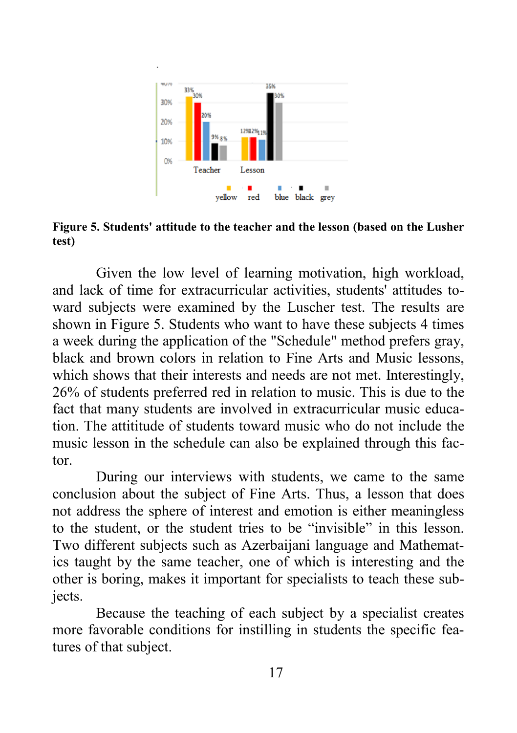

**Figure 5. Students' attitude to the teacher and the lesson (based on the Lusher test)**

Given the low level of learning motivation, high workload, and lack of time for extracurricular activities, students' attitudes toward subjects were examined by the Luscher test. The results are shown in Figure 5. Students who want to have these subjects 4 times a week during the application of the "Schedule" method prefers gray, black and brown colors in relation to Fine Arts and Music lessons, which shows that their interests and needs are not met. Interestingly, 26% of students preferred red in relation to music. This is due to the fact that many students are involved in extracurricular music education. The attititude of students toward music who do not include the music lesson in the schedule can also be explained through this factor.

During our interviews with students, we came to the same conclusion about the subject of Fine Arts. Thus, a lesson that does not address the sphere of interest and emotion is either meaningless to the student, or the student tries to be "invisible" in this lesson. Two different subjects such as Azerbaijani language and Mathematics taught by the same teacher, one of which is interesting and the other is boring, makes it important for specialists to teach these subjects.

Because the teaching of each subject by a specialist creates more favorable conditions for instilling in students the specific features of that subject.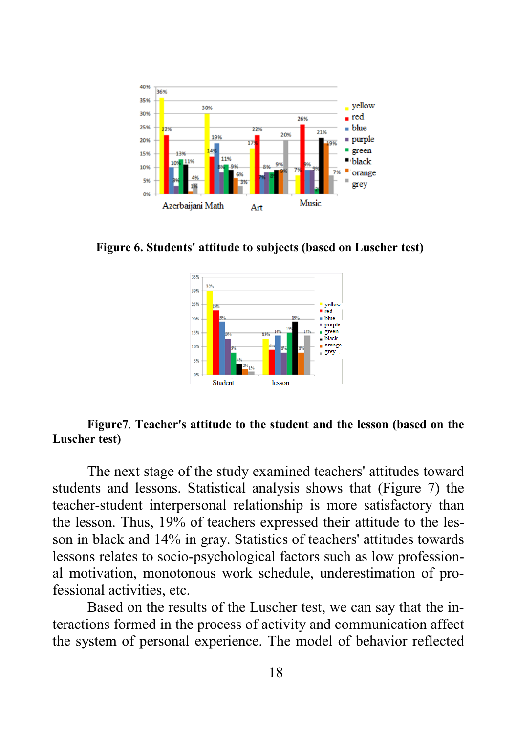

**Figure 6. Students' attitude to subjects (based on Luscher test)**



#### **Figure7**. **Teacher's attitude to the student and the lesson (based on the Luscher test)**

The next stage of the study examined teachers' attitudes toward students and lessons. Statistical analysis shows that (Figure 7) the teacher-student interpersonal relationship is more satisfactory than the lesson. Thus, 19% of teachers expressed their attitude to the lesson in black and 14% in gray. Statistics of teachers' attitudes towards lessons relates to socio-psychological factors such as low professional motivation, monotonous work schedule, underestimation of professional activities, etc.

Based on the results of the Luscher test, we can say that the interactions formed in the process of activity and communication affect the system of personal experience. The model of behavior reflected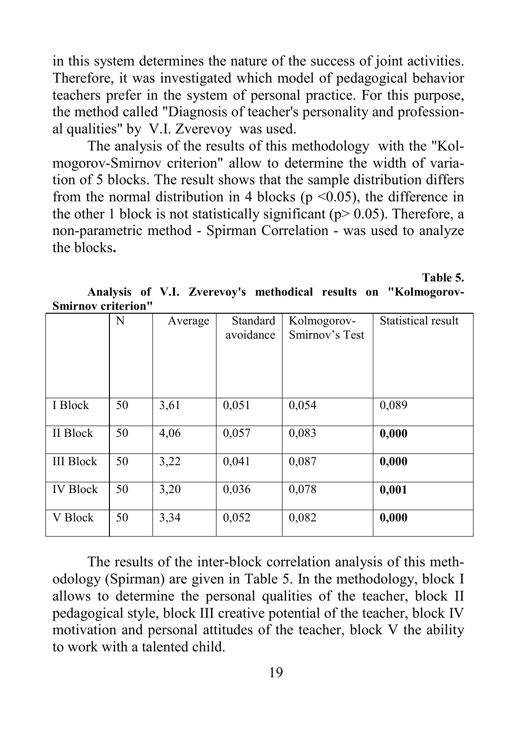in this system determines the nature of the success of joint activities. Therefore, it was investigated which model of pedagogical behavior teachers prefer in the system of personal practice. For this purpose, the method called "Diagnosis of teacher's personality and professional qualities" by V.I. Zverevoy was used.

The analysis of the results of this methodology with the "Kolmogorov-Smirnov criterion" allow to determine the width of variation of 5 blocks. The result shows that the sample distribution differs from the normal distribution in 4 blocks ( $p \le 0.05$ ), the difference in the other 1 block is not statistically significant ( $p$  > 0.05). Therefore, a non-parametric method - Spirman Correlation - was used to analyze the blocks**.**

**Table 5.**

**Analysis of V.I. Zverevoy's methodical results on "Kolmogorov-Smirnov criterion"**

| DHIII HOV AFIIATION |    |         |                       |                               |                    |
|---------------------|----|---------|-----------------------|-------------------------------|--------------------|
|                     | N  | Average | Standard<br>avoidance | Kolmogorov-<br>Smirnov's Test | Statistical result |
| I Block             | 50 | 3,61    | 0,051                 | 0,054                         | 0,089              |
| II Block            | 50 | 4,06    | 0,057                 | 0,083                         | 0,000              |
| <b>III</b> Block    | 50 | 3,22    | 0,041                 | 0,087                         | 0,000              |
| <b>IV Block</b>     | 50 | 3,20    | 0,036                 | 0,078                         | 0,001              |
| V Block             | 50 | 3,34    | 0,052                 | 0,082                         | 0,000              |

The results of the inter-block correlation analysis of this methodology (Spirman) are given in Table 5. In the methodology, block I allows to determine the personal qualities of the teacher, block II pedagogical style, block III creative potential of the teacher, block IV motivation and personal attitudes of the teacher, block V the ability to work with a talented child.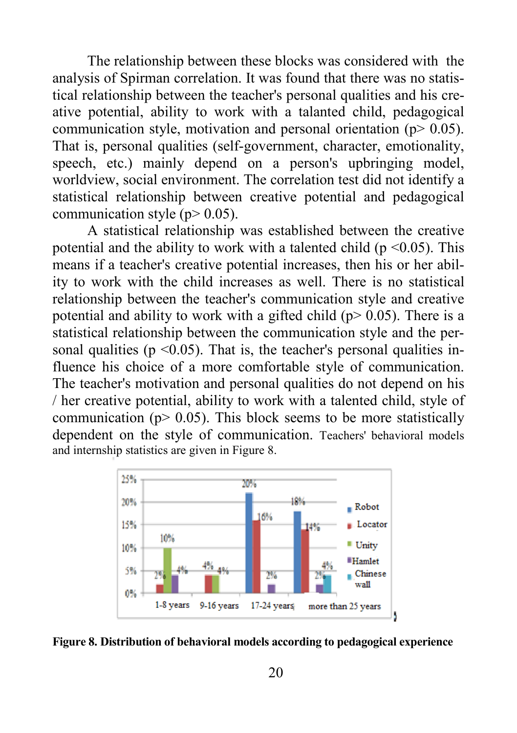The relationship between these blocks was considered with the analysis of Spirman correlation. It was found that there was no statistical relationship between the teacher's personal qualities and his creative potential, ability to work with a talanted child, pedagogical communication style, motivation and personal orientation ( $p > 0.05$ ). That is, personal qualities (self-government, character, emotionality, speech, etc.) mainly depend on a person's upbringing model, worldview, social environment. The correlation test did not identify a statistical relationship between creative potential and pedagogical communication style ( $p$  > 0.05).

A statistical relationship was established between the creative potential and the ability to work with a talented child ( $p \le 0.05$ ). This means if a teacher's creative potential increases, then his or her ability to work with the child increases as well. There is no statistical relationship between the teacher's communication style and creative potential and ability to work with a gifted child ( $p > 0.05$ ). There is a statistical relationship between the communication style and the personal qualities ( $p \le 0.05$ ). That is, the teacher's personal qualities influence his choice of a more comfortable style of communication. The teacher's motivation and personal qualities do not depend on his / her creative potential, ability to work with a talented child, style of communication ( $p$  > 0.05). This block seems to be more statistically dependent on the style of communication. Teachers' behavioral models and internship statistics are given in Figure 8.





20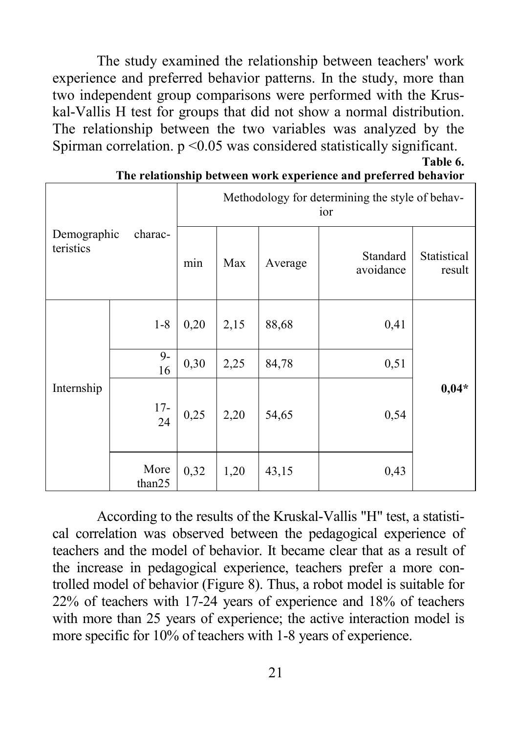The study examined the relationship between teachers' work experience and preferred behavior patterns. In the study, more than two independent group comparisons were performed with the Kruskal-Vallis H test for groups that did not show a normal distribution. The relationship between the two variables was analyzed by the Spirman correlation.  $p \leq 0.05$  was considered statistically significant. **Table 6.**

|                          | charac-        | Methodology for determining the style of behav-<br>ior |      |         |                       |                       |
|--------------------------|----------------|--------------------------------------------------------|------|---------|-----------------------|-----------------------|
| Demographic<br>teristics |                | min                                                    | Max  | Average | Standard<br>avoidance | Statistical<br>result |
|                          | $1 - 8$        | 0,20                                                   | 2,15 | 88,68   | 0,41                  |                       |
| Internship               | $9-$<br>16     | 0,30                                                   | 2,25 | 84,78   | 0,51                  |                       |
|                          | $17-$<br>24    | 0,25                                                   | 2,20 | 54,65   | 0,54                  | $0,04*$               |
|                          | More<br>than25 | 0,32                                                   | 1,20 | 43,15   | 0,43                  |                       |

| The relationship between work experience and preferred behavior |  |
|-----------------------------------------------------------------|--|
|-----------------------------------------------------------------|--|

According to the results of the Kruskal-Vallis "H" test, a statistical correlation was observed between the pedagogical experience of teachers and the model of behavior. It became clear that as a result of the increase in pedagogical experience, teachers prefer a more controlled model of behavior (Figure 8). Thus, a robot model is suitable for 22% of teachers with 17-24 years of experience and 18% of teachers with more than 25 years of experience; the active interaction model is more specific for 10% of teachers with 1-8 years of experience.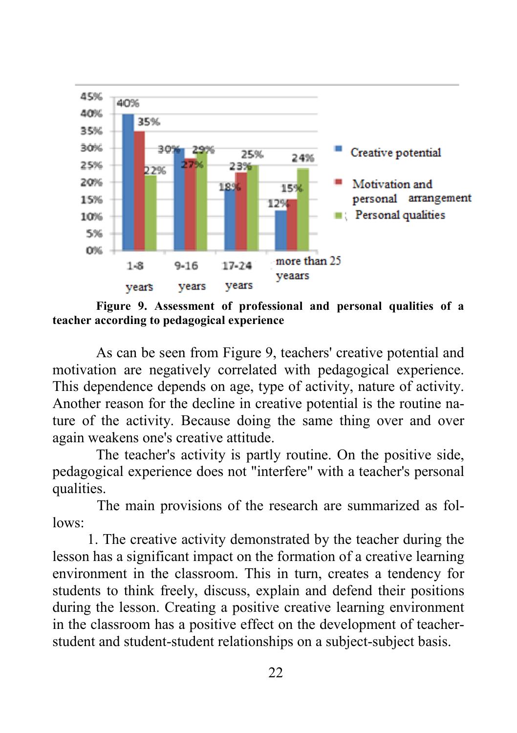

**Figure 9. Assessment of professional and personal qualities of a teacher according to pedagogical experience**

As can be seen from Figure 9, teachers' creative potential and motivation are negatively correlated with pedagogical experience. This dependence depends on age, type of activity, nature of activity. Another reason for the decline in creative potential is the routine nature of the activity. Because doing the same thing over and over again weakens one's creative attitude.

The teacher's activity is partly routine. On the positive side, pedagogical experience does not "interfere" with a teacher's personal qualities.

The main provisions of the research are summarized as follows:

1. The creative activity demonstrated by the teacher during the lesson has a significant impact on the formation of a creative learning environment in the classroom. This in turn, creates a tendency for students to think freely, discuss, explain and defend their positions during the lesson. Creating a positive creative learning environment in the classroom has a positive effect on the development of teacherstudent and student-student relationships on a subject-subject basis.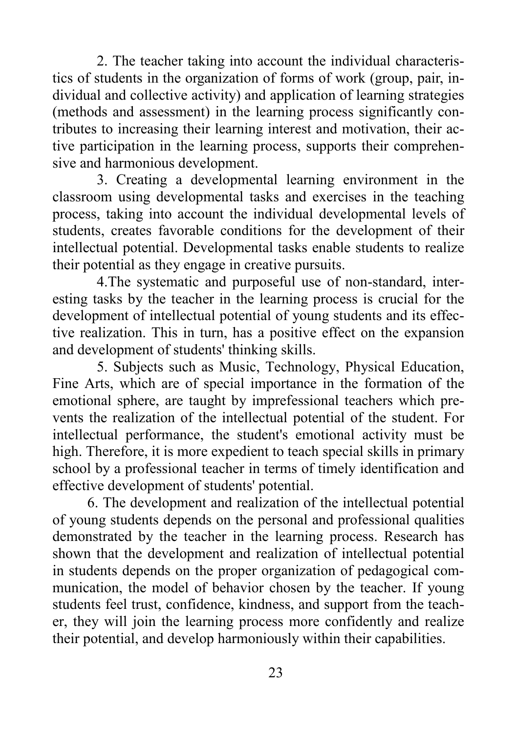2. The teacher taking into account the individual characteristics of students in the organization of forms of work (group, pair, individual and collective activity) and application of learning strategies (methods and assessment) in the learning process significantly contributes to increasing their learning interest and motivation, their active participation in the learning process, supports their comprehensive and harmonious development.

3. Creating a developmental learning environment in the classroom using developmental tasks and exercises in the teaching process, taking into account the individual developmental levels of students, creates favorable conditions for the development of their intellectual potential. Developmental tasks enable students to realize their potential as they engage in creative pursuits.

4.The systematic and purposeful use of non-standard, interesting tasks by the teacher in the learning process is crucial for the development of intellectual potential of young students and its effective realization. This in turn, has a positive effect on the expansion and development of students' thinking skills.

5. Subjects such as Music, Technology, Physical Education, Fine Arts, which are of special importance in the formation of the emotional sphere, are taught by imprefessional teachers which prevents the realization of the intellectual potential of the student. For intellectual performance, the student's emotional activity must be high. Therefore, it is more expedient to teach special skills in primary school by a professional teacher in terms of timely identification and effective development of students' potential.

6. The development and realization of the intellectual potential of young students depends on the personal and professional qualities demonstrated by the teacher in the learning process. Research has shown that the development and realization of intellectual potential in students depends on the proper organization of pedagogical communication, the model of behavior chosen by the teacher. If young students feel trust, confidence, kindness, and support from the teacher, they will join the learning process more confidently and realize their potential, and develop harmoniously within their capabilities.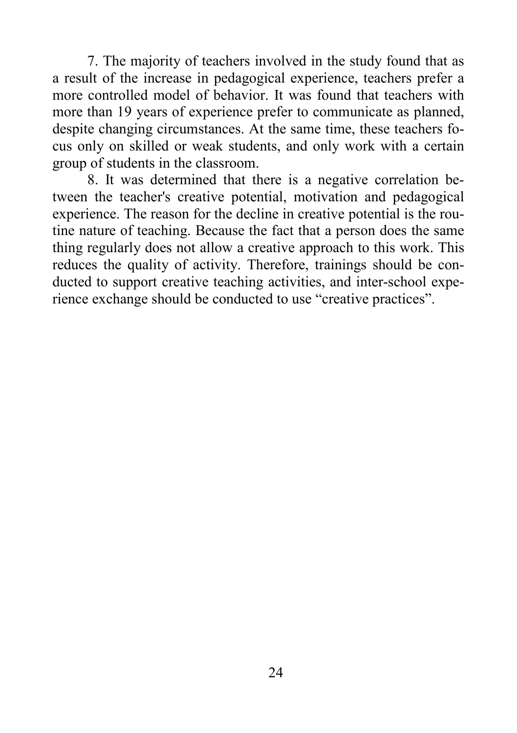7. The majority of teachers involved in the study found that as a result of the increase in pedagogical experience, teachers prefer a more controlled model of behavior. It was found that teachers with more than 19 years of experience prefer to communicate as planned, despite changing circumstances. At the same time, these teachers focus only on skilled or weak students, and only work with a certain group of students in the classroom.

8. It was determined that there is a negative correlation between the teacher's creative potential, motivation and pedagogical experience. The reason for the decline in creative potential is the routine nature of teaching. Because the fact that a person does the same thing regularly does not allow a creative approach to this work. This reduces the quality of activity. Therefore, trainings should be conducted to support creative teaching activities, and inter-school experience exchange should be conducted to use "creative practices".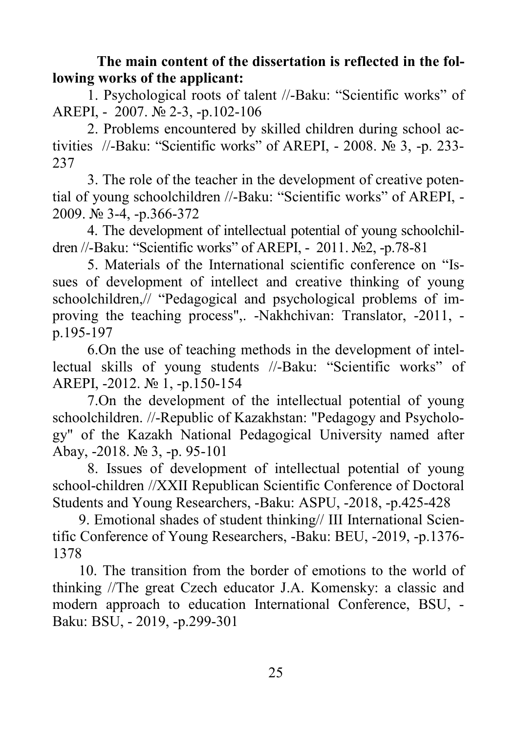**The main content of the dissertation is reflected in the following works of the applicant:**

1. Psychological roots of talent //-Baku: "Scientific works" of AREPI, - 2007. № 2-3, -p.102-106

2. Problems encountered by skilled children during school activities //-Baku: "Scientific works" of AREPI, - 2008. № 3, -p. 233- 237

3. The role of the teacher in the development of creative potential of young schoolchildren //-Baku: "Scientific works" of AREPI, - 2009. № 3-4, -p.366-372

4. The development of intellectual potential of young schoolchildren //-Baku: "Scientific works" of AREPI, - 2011. №2, -p.78-81

5. Materials of the International scientific conference on "Issues of development of intellect and creative thinking of young schoolchildren,// "Pedagogical and psychological problems of improving the teaching process",. -Nakhchivan: Translator, -2011, p.195-197

6.On the use of teaching methods in the development of intellectual skills of young students //-Baku: "Scientific works" of AREPI, -2012. № 1, -p.150-154

7.On the development of the intellectual potential of young schoolchildren. //-Republic of Kazakhstan: "Pedagogy and Psychology" of the Kazakh National Pedagogical University named after Abay, -2018. № 3, -p. 95-101

8. Issues of development of intellectual potential of young school-children //XXII Republican Scientific Conference of Doctoral Students and Young Researchers, -Baku: ASPU, -2018, -p.425-428

9. Emotional shades of student thinking// III International Scientific Conference of Young Researchers, -Baku: BEU, -2019, -p.1376- 1378

10. The transition from the border of emotions to the world of thinking //The great Czech educator J.A. Komensky: a classic and modern approach to education International Conference, BSU, - Baku: BSU, - 2019, -p.299-301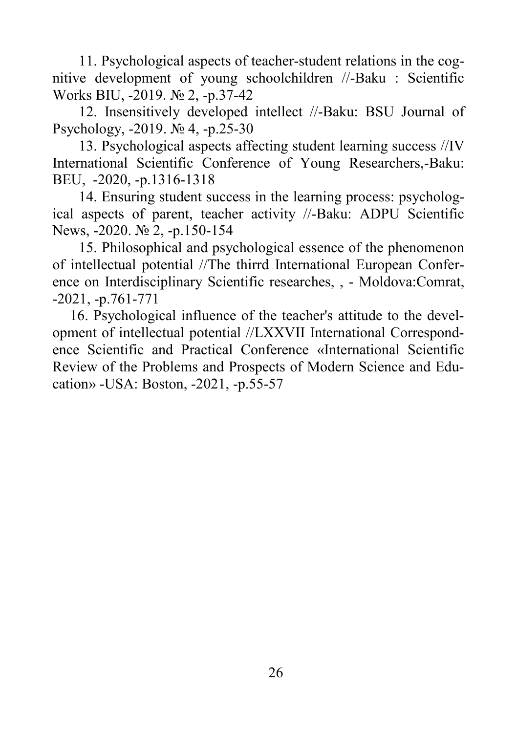11. Psychological aspects of teacher-student relations in the cognitive development of young schoolchildren //-Baku : Scientific Works BIU, -2019. № 2, -p.37-42

12. Insensitively developed intellect //-Baku: BSU Journal of Psychology, -2019. № 4, -p.25-30

13. Psychological aspects affecting student learning success //IV International Scientific Conference of Young Researchers,-Baku: BEU, -2020, -p.1316-1318

14. Ensuring student success in the learning process: psychological aspects of parent, teacher activity //-Baku: ADPU Scientific News, -2020. № 2, -p.150-154

15. Philosophical and psychological essence of the phenomenon of intellectual potential //The thirrd International European Conference on Interdisciplinary Scientific researches, , - Moldova:Comrat, -2021, -p.761-771

16. Psychological influence of the teacher's attitude to the development of intellectual potential //LXXVII International Correspondence Scientific and Practical Conference «International Scientific Review of the Problems and Prospects of Modern Science and Education» -USA: Boston, -2021, -p.55-57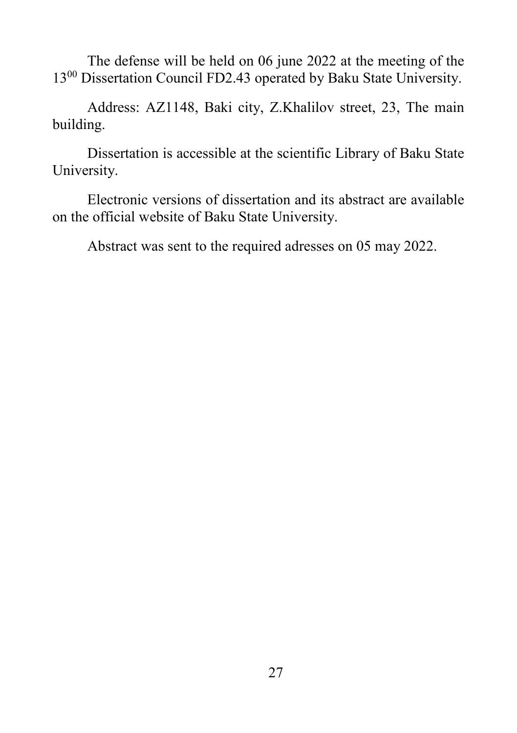The defense will be held on 06 june 2022 at the meeting of the 13<sup>00</sup> Dissertation Council FD2.43 operated by Baku State University.

Address: AZ1148, Baki city, Z.Khalilov street, 23, The main building.

Dissertation is accessible at the scientific Library of Baku State University.

Electronic versions of dissertation and its abstract are available on the official website of Baku State University.

Abstract was sent to the required adresses on 05 may 2022.